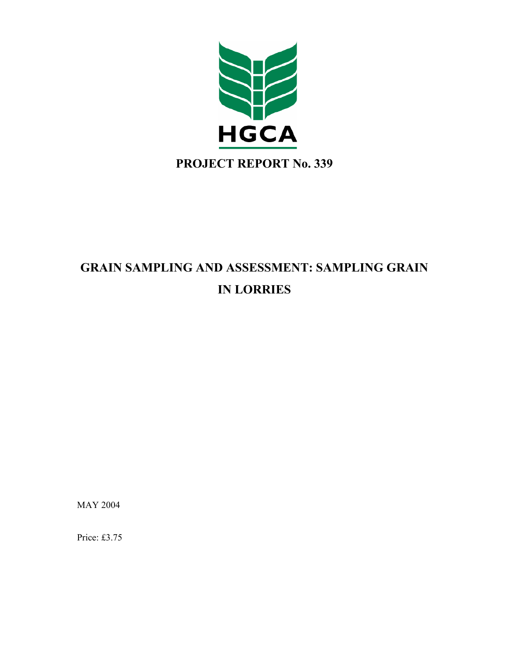

# **GRAIN SAMPLING AND ASSESSMENT: SAMPLING GRAIN IN LORRIES**

MAY 2004

Price: £3.75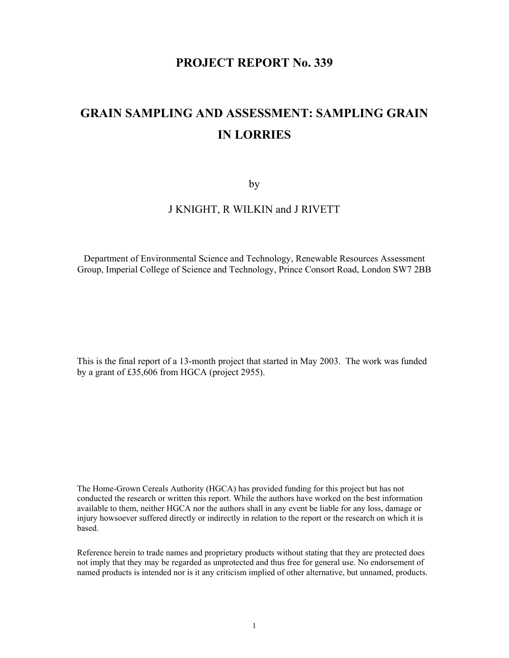# **PROJECT REPORT No. 339**

# **GRAIN SAMPLING AND ASSESSMENT: SAMPLING GRAIN IN LORRIES**

by

## J KNIGHT, R WILKIN and J RIVETT

Department of Environmental Science and Technology, Renewable Resources Assessment Group, Imperial College of Science and Technology, Prince Consort Road, London SW7 2BB

This is the final report of a 13-month project that started in May 2003. The work was funded by a grant of £35,606 from HGCA (project 2955).

The Home-Grown Cereals Authority (HGCA) has provided funding for this project but has not conducted the research or written this report. While the authors have worked on the best information available to them, neither HGCA nor the authors shall in any event be liable for any loss, damage or injury howsoever suffered directly or indirectly in relation to the report or the research on which it is based.

Reference herein to trade names and proprietary products without stating that they are protected does not imply that they may be regarded as unprotected and thus free for general use. No endorsement of named products is intended nor is it any criticism implied of other alternative, but unnamed, products.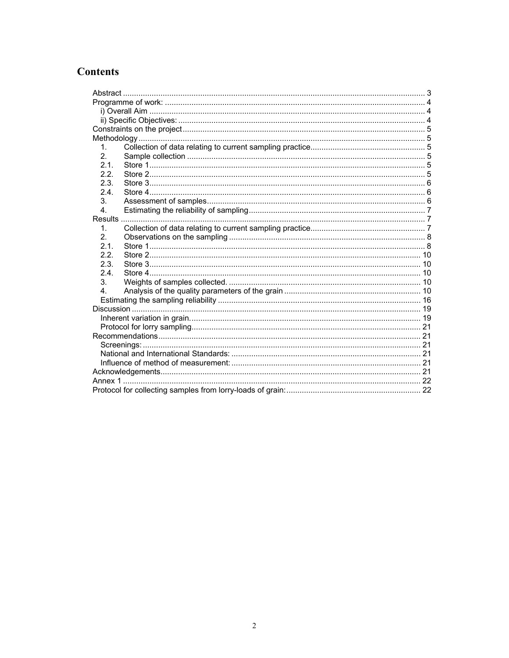# **Contents**

| 1.             |  |  |  |
|----------------|--|--|--|
| 2.             |  |  |  |
| 2.1.           |  |  |  |
| 2.2.           |  |  |  |
| 2.3.           |  |  |  |
| 2.4.           |  |  |  |
| 3.             |  |  |  |
| 4.             |  |  |  |
|                |  |  |  |
| $\mathbf{1}$   |  |  |  |
| 2.             |  |  |  |
| 2.1.           |  |  |  |
| 2.2.           |  |  |  |
| 2.3.           |  |  |  |
| 2.4            |  |  |  |
| 3.             |  |  |  |
| 4 <sup>1</sup> |  |  |  |
|                |  |  |  |
|                |  |  |  |
|                |  |  |  |
|                |  |  |  |
|                |  |  |  |
|                |  |  |  |
|                |  |  |  |
|                |  |  |  |
|                |  |  |  |
|                |  |  |  |
|                |  |  |  |
|                |  |  |  |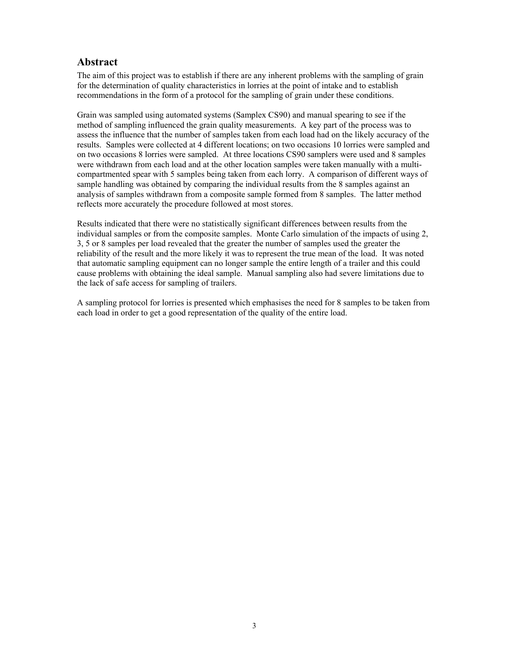# **Abstract**

The aim of this project was to establish if there are any inherent problems with the sampling of grain for the determination of quality characteristics in lorries at the point of intake and to establish recommendations in the form of a protocol for the sampling of grain under these conditions.

Grain was sampled using automated systems (Samplex CS90) and manual spearing to see if the method of sampling influenced the grain quality measurements. A key part of the process was to assess the influence that the number of samples taken from each load had on the likely accuracy of the results. Samples were collected at 4 different locations; on two occasions 10 lorries were sampled and on two occasions 8 lorries were sampled. At three locations CS90 samplers were used and 8 samples were withdrawn from each load and at the other location samples were taken manually with a multicompartmented spear with 5 samples being taken from each lorry. A comparison of different ways of sample handling was obtained by comparing the individual results from the 8 samples against an analysis of samples withdrawn from a composite sample formed from 8 samples. The latter method reflects more accurately the procedure followed at most stores.

Results indicated that there were no statistically significant differences between results from the individual samples or from the composite samples. Monte Carlo simulation of the impacts of using 2, 3, 5 or 8 samples per load revealed that the greater the number of samples used the greater the reliability of the result and the more likely it was to represent the true mean of the load. It was noted that automatic sampling equipment can no longer sample the entire length of a trailer and this could cause problems with obtaining the ideal sample. Manual sampling also had severe limitations due to the lack of safe access for sampling of trailers.

A sampling protocol for lorries is presented which emphasises the need for 8 samples to be taken from each load in order to get a good representation of the quality of the entire load.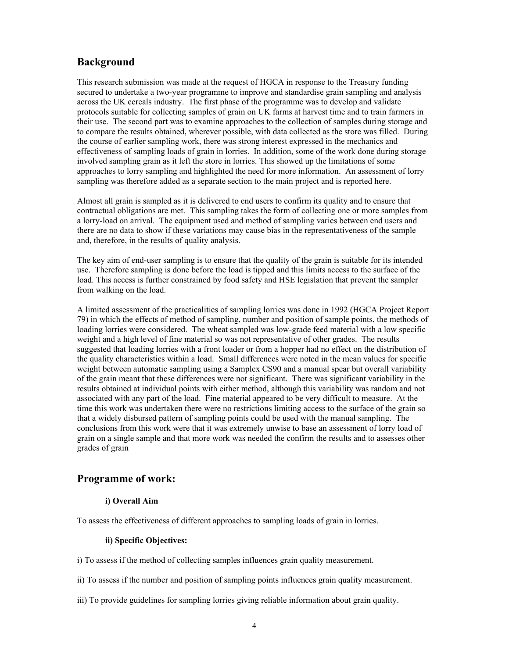## **Background**

This research submission was made at the request of HGCA in response to the Treasury funding secured to undertake a two-year programme to improve and standardise grain sampling and analysis across the UK cereals industry. The first phase of the programme was to develop and validate protocols suitable for collecting samples of grain on UK farms at harvest time and to train farmers in their use. The second part was to examine approaches to the collection of samples during storage and to compare the results obtained, wherever possible, with data collected as the store was filled. During the course of earlier sampling work, there was strong interest expressed in the mechanics and effectiveness of sampling loads of grain in lorries. In addition, some of the work done during storage involved sampling grain as it left the store in lorries. This showed up the limitations of some approaches to lorry sampling and highlighted the need for more information. An assessment of lorry sampling was therefore added as a separate section to the main project and is reported here.

Almost all grain is sampled as it is delivered to end users to confirm its quality and to ensure that contractual obligations are met. This sampling takes the form of collecting one or more samples from a lorry-load on arrival. The equipment used and method of sampling varies between end users and there are no data to show if these variations may cause bias in the representativeness of the sample and, therefore, in the results of quality analysis.

The key aim of end-user sampling is to ensure that the quality of the grain is suitable for its intended use. Therefore sampling is done before the load is tipped and this limits access to the surface of the load. This access is further constrained by food safety and HSE legislation that prevent the sampler from walking on the load.

A limited assessment of the practicalities of sampling lorries was done in 1992 (HGCA Project Report 79) in which the effects of method of sampling, number and position of sample points, the methods of loading lorries were considered. The wheat sampled was low-grade feed material with a low specific weight and a high level of fine material so was not representative of other grades. The results suggested that loading lorries with a front loader or from a hopper had no effect on the distribution of the quality characteristics within a load. Small differences were noted in the mean values for specific weight between automatic sampling using a Samplex CS90 and a manual spear but overall variability of the grain meant that these differences were not significant. There was significant variability in the results obtained at individual points with either method, although this variability was random and not associated with any part of the load. Fine material appeared to be very difficult to measure. At the time this work was undertaken there were no restrictions limiting access to the surface of the grain so that a widely disbursed pattern of sampling points could be used with the manual sampling. The conclusions from this work were that it was extremely unwise to base an assessment of lorry load of grain on a single sample and that more work was needed the confirm the results and to assesses other grades of grain

# **Programme of work:**

## **i) Overall Aim**

To assess the effectiveness of different approaches to sampling loads of grain in lorries.

#### **ii) Specific Objectives:**

i) To assess if the method of collecting samples influences grain quality measurement.

- ii) To assess if the number and position of sampling points influences grain quality measurement.
- iii) To provide guidelines for sampling lorries giving reliable information about grain quality.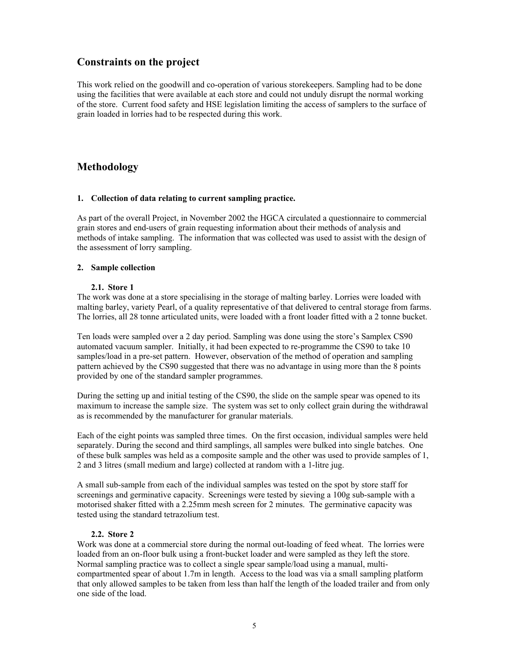## **Constraints on the project**

This work relied on the goodwill and co-operation of various storekeepers. Sampling had to be done using the facilities that were available at each store and could not unduly disrupt the normal working of the store. Current food safety and HSE legislation limiting the access of samplers to the surface of grain loaded in lorries had to be respected during this work.

# **Methodology**

## **1. Collection of data relating to current sampling practice.**

As part of the overall Project, in November 2002 the HGCA circulated a questionnaire to commercial grain stores and end-users of grain requesting information about their methods of analysis and methods of intake sampling. The information that was collected was used to assist with the design of the assessment of lorry sampling.

## **2. Sample collection**

## **2.1. Store 1**

The work was done at a store specialising in the storage of malting barley. Lorries were loaded with malting barley, variety Pearl, of a quality representative of that delivered to central storage from farms. The lorries, all 28 tonne articulated units, were loaded with a front loader fitted with a 2 tonne bucket.

Ten loads were sampled over a 2 day period. Sampling was done using the store's Samplex CS90 automated vacuum sampler. Initially, it had been expected to re-programme the CS90 to take 10 samples/load in a pre-set pattern. However, observation of the method of operation and sampling pattern achieved by the CS90 suggested that there was no advantage in using more than the 8 points provided by one of the standard sampler programmes.

During the setting up and initial testing of the CS90, the slide on the sample spear was opened to its maximum to increase the sample size. The system was set to only collect grain during the withdrawal as is recommended by the manufacturer for granular materials.

Each of the eight points was sampled three times. On the first occasion, individual samples were held separately. During the second and third samplings, all samples were bulked into single batches. One of these bulk samples was held as a composite sample and the other was used to provide samples of 1, 2 and 3 litres (small medium and large) collected at random with a 1-litre jug.

A small sub-sample from each of the individual samples was tested on the spot by store staff for screenings and germinative capacity. Screenings were tested by sieving a 100g sub-sample with a motorised shaker fitted with a 2.25mm mesh screen for 2 minutes. The germinative capacity was tested using the standard tetrazolium test.

## **2.2. Store 2**

Work was done at a commercial store during the normal out-loading of feed wheat. The lorries were loaded from an on-floor bulk using a front-bucket loader and were sampled as they left the store. Normal sampling practice was to collect a single spear sample/load using a manual, multicompartmented spear of about 1.7m in length. Access to the load was via a small sampling platform that only allowed samples to be taken from less than half the length of the loaded trailer and from only one side of the load.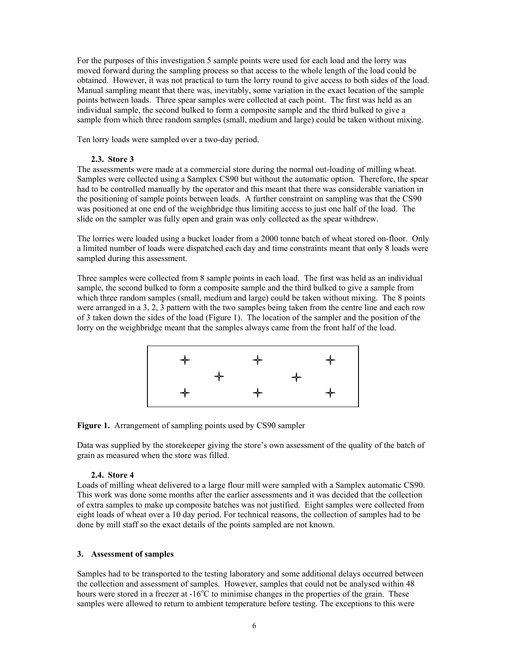For the purposes of this investigation 5 sample points were used for each load and the lorry was moved forward during the sampling process so that access to the whole length of the load could be obtained. However, it was not practical to turn the lorry round to give access to both sides of the load. Manual sampling meant that there was, inevitably, some variation in the exact location of the sample points between loads. Three spear samples were collected at each point. The first was held as an individual sample, the second bulked to form a composite sample and the third bulked to give a sample from which three random samples (small, medium and large) could be taken without mixing.

Ten lorry loads were sampled over a two-day period.

#### **2.3. Store 3**

The assessments were made at a commercial store during the normal out-loading of milling wheat. Samples were collected using a Samplex CS90 but without the automatic option. Therefore, the spear had to be controlled manually by the operator and this meant that there was considerable variation in the positioning of sample points between loads. A further constraint on sampling was that the CS90 was positioned at one end of the weighbridge thus limiting access to just one half of the load. The slide on the sampler was fully open and grain was only collected as the spear withdrew.

The lorries were loaded using a bucket loader from a 2000 tonne batch of wheat stored on-floor. Only a limited number of loads were dispatched each day and time constraints meant that only 8 loads were sampled during this assessment.

Three samples were collected from 8 sample points in each load. The first was held as an individual sample, the second bulked to form a composite sample and the third bulked to give a sample from which three random samples (small, medium and large) could be taken without mixing. The 8 points were arranged in a 3, 2, 3 pattern with the two samples being taken from the centre line and each row of 3 taken down the sides of the load (Figure 1). The location of the sampler and the position of the lorry on the weighbridge meant that the samples always came from the front half of the load.



**Figure 1.** Arrangement of sampling points used by CS90 sampler

Data was supplied by the storekeeper giving the store's own assessment of the quality of the batch of grain as measured when the store was filled.

#### **2.4. Store 4**

Loads of milling wheat delivered to a large flour mill were sampled with a Samplex automatic CS90. This work was done some months after the earlier assessments and it was decided that the collection of extra samples to make up composite batches was not justified. Eight samples were collected from eight loads of wheat over a 10 day period. For technical reasons, the collection of samples had to be done by mill staff so the exact details of the points sampled are not known.

## **3. Assessment of samples**

Samples had to be transported to the testing laboratory and some additional delays occurred between the collection and assessment of samples. However, samples that could not be analysed within 48 hours were stored in a freezer at -16<sup>o</sup>C to minimise changes in the properties of the grain. These samples were allowed to return to ambient temperature before testing. The exceptions to this were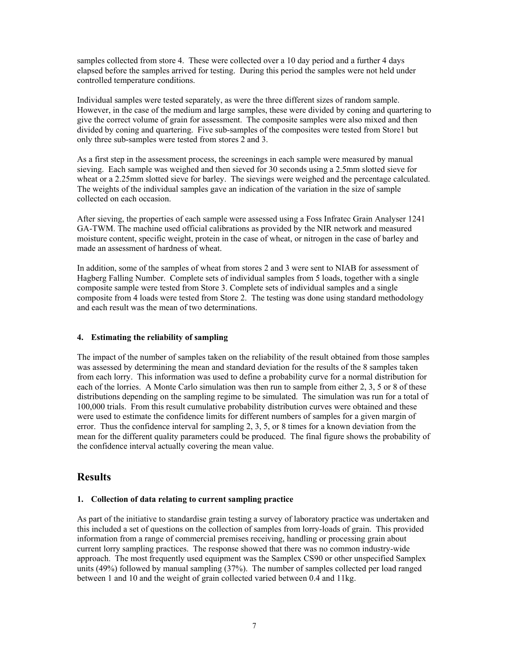samples collected from store 4. These were collected over a 10 day period and a further 4 days elapsed before the samples arrived for testing. During this period the samples were not held under controlled temperature conditions.

Individual samples were tested separately, as were the three different sizes of random sample. However, in the case of the medium and large samples, these were divided by coning and quartering to give the correct volume of grain for assessment. The composite samples were also mixed and then divided by coning and quartering. Five sub-samples of the composites were tested from Store1 but only three sub-samples were tested from stores 2 and 3.

As a first step in the assessment process, the screenings in each sample were measured by manual sieving. Each sample was weighed and then sieved for 30 seconds using a 2.5mm slotted sieve for wheat or a 2.25mm slotted sieve for barley. The sievings were weighed and the percentage calculated. The weights of the individual samples gave an indication of the variation in the size of sample collected on each occasion.

After sieving, the properties of each sample were assessed using a Foss Infratec Grain Analyser 1241 GA-TWM. The machine used official calibrations as provided by the NIR network and measured moisture content, specific weight, protein in the case of wheat, or nitrogen in the case of barley and made an assessment of hardness of wheat.

In addition, some of the samples of wheat from stores 2 and 3 were sent to NIAB for assessment of Hagberg Falling Number. Complete sets of individual samples from 5 loads, together with a single composite sample were tested from Store 3. Complete sets of individual samples and a single composite from 4 loads were tested from Store 2. The testing was done using standard methodology and each result was the mean of two determinations.

## **4. Estimating the reliability of sampling**

The impact of the number of samples taken on the reliability of the result obtained from those samples was assessed by determining the mean and standard deviation for the results of the 8 samples taken from each lorry. This information was used to define a probability curve for a normal distribution for each of the lorries. A Monte Carlo simulation was then run to sample from either 2, 3, 5 or 8 of these distributions depending on the sampling regime to be simulated. The simulation was run for a total of 100,000 trials. From this result cumulative probability distribution curves were obtained and these were used to estimate the confidence limits for different numbers of samples for a given margin of error. Thus the confidence interval for sampling  $2, 3, 5$ , or 8 times for a known deviation from the mean for the different quality parameters could be produced. The final figure shows the probability of the confidence interval actually covering the mean value.

# **Results**

## **1. Collection of data relating to current sampling practice**

As part of the initiative to standardise grain testing a survey of laboratory practice was undertaken and this included a set of questions on the collection of samples from lorry-loads of grain. This provided information from a range of commercial premises receiving, handling or processing grain about current lorry sampling practices. The response showed that there was no common industry-wide approach. The most frequently used equipment was the Samplex CS90 or other unspecified Samplex units (49%) followed by manual sampling (37%). The number of samples collected per load ranged between 1 and 10 and the weight of grain collected varied between 0.4 and 11kg.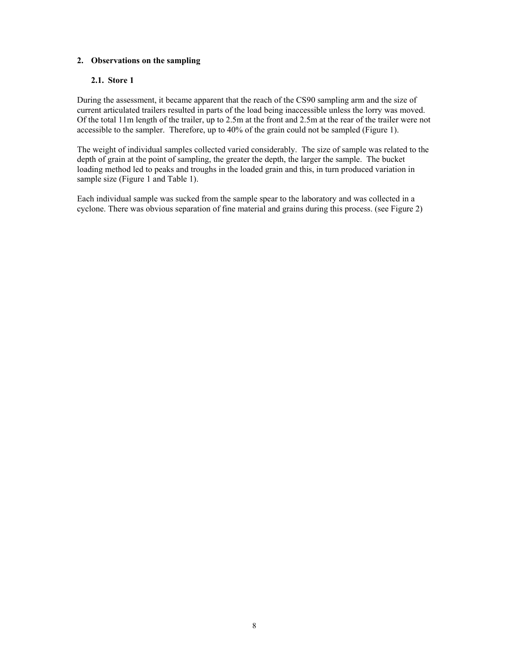## **2. Observations on the sampling**

## **2.1. Store 1**

During the assessment, it became apparent that the reach of the CS90 sampling arm and the size of current articulated trailers resulted in parts of the load being inaccessible unless the lorry was moved. Of the total 11m length of the trailer, up to 2.5m at the front and 2.5m at the rear of the trailer were not accessible to the sampler. Therefore, up to 40% of the grain could not be sampled (Figure 1).

The weight of individual samples collected varied considerably. The size of sample was related to the depth of grain at the point of sampling, the greater the depth, the larger the sample. The bucket loading method led to peaks and troughs in the loaded grain and this, in turn produced variation in sample size (Figure 1 and Table 1).

Each individual sample was sucked from the sample spear to the laboratory and was collected in a cyclone. There was obvious separation of fine material and grains during this process. (see Figure 2)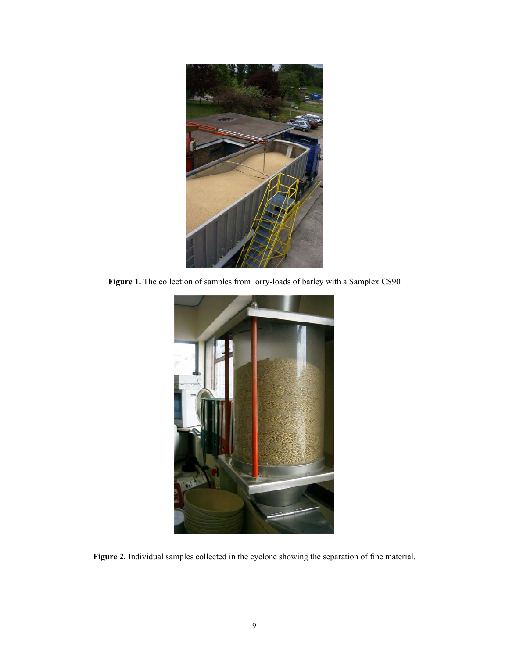

**Figure 1.** The collection of samples from lorry-loads of barley with a Samplex CS90



**Figure 2.** Individual samples collected in the cyclone showing the separation of fine material.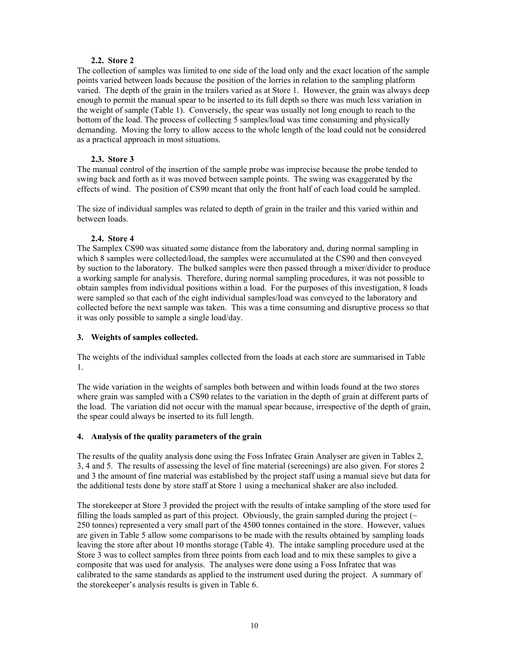## **2.2. Store 2**

The collection of samples was limited to one side of the load only and the exact location of the sample points varied between loads because the position of the lorries in relation to the sampling platform varied. The depth of the grain in the trailers varied as at Store 1. However, the grain was always deep enough to permit the manual spear to be inserted to its full depth so there was much less variation in the weight of sample (Table 1). Conversely, the spear was usually not long enough to reach to the bottom of the load. The process of collecting 5 samples/load was time consuming and physically demanding. Moving the lorry to allow access to the whole length of the load could not be considered as a practical approach in most situations.

## **2.3. Store 3**

The manual control of the insertion of the sample probe was imprecise because the probe tended to swing back and forth as it was moved between sample points. The swing was exaggerated by the effects of wind. The position of CS90 meant that only the front half of each load could be sampled.

The size of individual samples was related to depth of grain in the trailer and this varied within and between loads.

## **2.4. Store 4**

The Samplex CS90 was situated some distance from the laboratory and, during normal sampling in which 8 samples were collected/load, the samples were accumulated at the CS90 and then conveyed by suction to the laboratory. The bulked samples were then passed through a mixer/divider to produce a working sample for analysis. Therefore, during normal sampling procedures, it was not possible to obtain samples from individual positions within a load. For the purposes of this investigation, 8 loads were sampled so that each of the eight individual samples/load was conveyed to the laboratory and collected before the next sample was taken. This was a time consuming and disruptive process so that it was only possible to sample a single load/day.

## **3. Weights of samples collected.**

The weights of the individual samples collected from the loads at each store are summarised in Table 1.

The wide variation in the weights of samples both between and within loads found at the two stores where grain was sampled with a CS90 relates to the variation in the depth of grain at different parts of the load. The variation did not occur with the manual spear because, irrespective of the depth of grain, the spear could always be inserted to its full length.

## **4. Analysis of the quality parameters of the grain**

The results of the quality analysis done using the Foss Infratec Grain Analyser are given in Tables 2, 3, 4 and 5. The results of assessing the level of fine material (screenings) are also given. For stores 2 and 3 the amount of fine material was established by the project staff using a manual sieve but data for the additional tests done by store staff at Store 1 using a mechanical shaker are also included.

The storekeeper at Store 3 provided the project with the results of intake sampling of the store used for filling the loads sampled as part of this project. Obviously, the grain sampled during the project ( $\sim$ 250 tonnes) represented a very small part of the 4500 tonnes contained in the store. However, values are given in Table 5 allow some comparisons to be made with the results obtained by sampling loads leaving the store after about 10 months storage (Table 4). The intake sampling procedure used at the Store 3 was to collect samples from three points from each load and to mix these samples to give a composite that was used for analysis. The analyses were done using a Foss Infratec that was calibrated to the same standards as applied to the instrument used during the project. A summary of the storekeeper's analysis results is given in Table 6.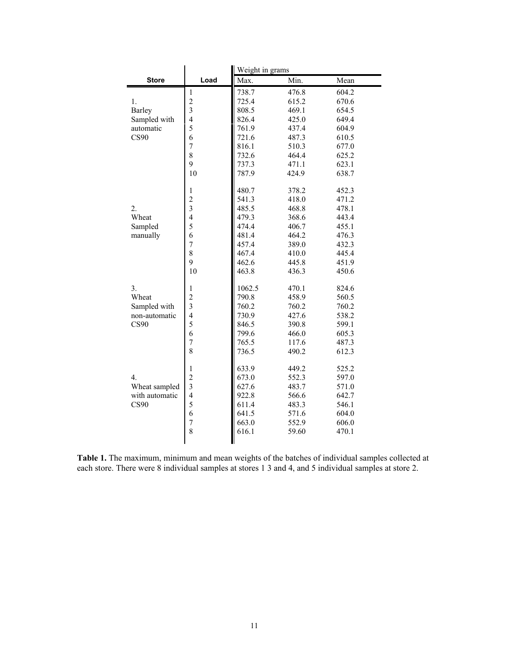|                |                                | Weight in grams |       |       |  |
|----------------|--------------------------------|-----------------|-------|-------|--|
| <b>Store</b>   | Load                           | Max.            | Min.  | Mean  |  |
|                | $\mathbf{1}$                   | 738.7           | 476.8 | 604.2 |  |
| 1.             | $\overline{c}$                 | 725.4           | 615.2 | 670.6 |  |
| Barley         | $\overline{3}$                 | 808.5           | 469.1 | 654.5 |  |
| Sampled with   | $\overline{\mathbf{4}}$        | 826.4           | 425.0 | 649.4 |  |
| automatic      | 5                              | 761.9           | 437.4 | 604.9 |  |
| <b>CS90</b>    | 6                              | 721.6           | 487.3 | 610.5 |  |
|                | $\overline{7}$                 | 816.1           | 510.3 | 677.0 |  |
|                | 8                              | 732.6           | 464.4 | 625.2 |  |
|                | 9                              | 737.3           | 471.1 | 623.1 |  |
|                | 10                             | 787.9           | 424.9 | 638.7 |  |
|                |                                |                 |       |       |  |
|                | $\mathbf{1}$<br>$\overline{c}$ | 480.7           | 378.2 | 452.3 |  |
|                | $\overline{\mathbf{3}}$        | 541.3           | 418.0 | 471.2 |  |
| 2.<br>Wheat    | $\overline{4}$                 | 485.5<br>479.3  | 468.8 | 478.1 |  |
|                | 5                              | 474.4           | 368.6 | 443.4 |  |
| Sampled        | 6                              | 481.4           | 406.7 | 455.1 |  |
| manually       | $\overline{7}$                 |                 | 464.2 | 476.3 |  |
|                | 8                              | 457.4           | 389.0 | 432.3 |  |
|                | 9                              | 467.4           | 410.0 | 445.4 |  |
|                |                                | 462.6           | 445.8 | 451.9 |  |
|                | 10                             | 463.8           | 436.3 | 450.6 |  |
| 3.             | $\mathbf{1}$                   | 1062.5          | 470.1 | 824.6 |  |
| Wheat          | $\overline{c}$                 | 790.8           | 458.9 | 560.5 |  |
| Sampled with   | 3                              | 760.2           | 760.2 | 760.2 |  |
| non-automatic  | $\overline{4}$                 | 730.9           | 427.6 | 538.2 |  |
| CS90           | 5                              | 846.5           | 390.8 | 599.1 |  |
|                | 6                              | 799.6           | 466.0 | 605.3 |  |
|                | $\overline{7}$                 | 765.5           | 117.6 | 487.3 |  |
|                | 8                              | 736.5           | 490.2 | 612.3 |  |
|                | $\mathbf{1}$                   | 633.9           | 449.2 | 525.2 |  |
| 4.             | $\overline{2}$                 | 673.0           | 552.3 | 597.0 |  |
| Wheat sampled  | $\overline{\mathbf{3}}$        | 627.6           | 483.7 | 571.0 |  |
| with automatic | $\overline{\mathbf{4}}$        | 922.8           | 566.6 | 642.7 |  |
| <b>CS90</b>    | 5                              | 611.4           | 483.3 | 546.1 |  |
|                | 6                              | 641.5           | 571.6 | 604.0 |  |
|                | 7                              | 663.0           | 552.9 | 606.0 |  |
|                | 8                              | 616.1           | 59.60 | 470.1 |  |
|                |                                |                 |       |       |  |
|                |                                |                 |       |       |  |

**Table 1.** The maximum, minimum and mean weights of the batches of individual samples collected at each store. There were 8 individual samples at stores 1 3 and 4, and 5 individual samples at store 2.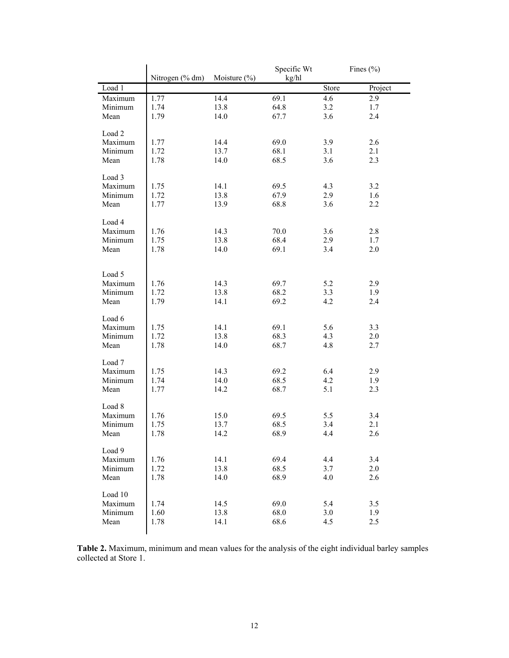|         | Nitrogen (% dm) | Moisture $(\% )$ | Specific Wt<br>kg/hl |       | Fines $(\% )$ |
|---------|-----------------|------------------|----------------------|-------|---------------|
| Load 1  |                 |                  |                      | Store | Project       |
| Maximum | 1.77            | 14.4             | 69.1                 | 4.6   | 2.9           |
| Minimum | 1.74            | 13.8             | 64.8                 | 3.2   | 1.7           |
| Mean    | 1.79            | 14.0             | 67.7                 | 3.6   | 2.4           |
|         |                 |                  |                      |       |               |
| Load 2  |                 |                  |                      |       |               |
| Maximum | 1.77            | 14.4             | 69.0                 | 3.9   | 2.6           |
| Minimum | 1.72            | 13.7             | 68.1                 | 3.1   | 2.1           |
| Mean    | 1.78            | 14.0             | 68.5                 | 3.6   | 2.3           |
|         |                 |                  |                      |       |               |
| Load 3  |                 |                  |                      |       |               |
| Maximum | 1.75            | 14.1             | 69.5                 | 4.3   | 3.2           |
| Minimum | 1.72            | 13.8             | 67.9                 | 2.9   | 1.6           |
| Mean    | 1.77            | 13.9             | 68.8                 | 3.6   | 2.2           |
|         |                 |                  |                      |       |               |
| Load 4  |                 |                  |                      |       |               |
| Maximum | 1.76            | 14.3             | 70.0                 | 3.6   | 2.8           |
| Minimum | 1.75            | 13.8             | 68.4                 | 2.9   | 1.7           |
| Mean    | 1.78            | 14.0             | 69.1                 | 3.4   | 2.0           |
|         |                 |                  |                      |       |               |
|         |                 |                  |                      |       |               |
| Load 5  |                 |                  |                      |       |               |
| Maximum | 1.76            | 14.3             | 69.7                 | 5.2   | 2.9           |
| Minimum | 1.72            | 13.8             | 68.2                 | 3.3   | 1.9           |
| Mean    | 1.79            | 14.1             | 69.2                 | 4.2   | 2.4           |
|         |                 |                  |                      |       |               |
| Load 6  |                 |                  |                      |       |               |
| Maximum | 1.75<br>1.72    | 14.1             | 69.1<br>68.3         | 5.6   | 3.3           |
| Minimum | 1.78            | 13.8             |                      | 4.3   | 2.0           |
| Mean    |                 | 14.0             | 68.7                 | 4.8   | 2.7           |
| Load 7  |                 |                  |                      |       |               |
| Maximum | 1.75            | 14.3             | 69.2                 | 6.4   | 2.9           |
| Minimum | 1.74            | 14.0             | 68.5                 | 4.2   | 1.9           |
| Mean    | 1.77            | 14.2             | 68.7                 | 5.1   | 2.3           |
|         |                 |                  |                      |       |               |
| Load 8  |                 |                  |                      |       |               |
| Maximum | 1.76            | 15.0             | 69.5                 | 5.5   | 3.4           |
| Minimum | 1.75            | 13.7             | 68.5                 | 3.4   | 2.1           |
| Mean    | 1.78            | 14.2             | 68.9                 | 4.4   | 2.6           |
|         |                 |                  |                      |       |               |
| Load 9  |                 |                  |                      |       |               |
| Maximum | 1.76            | 14.1             | 69.4                 | 4.4   | 3.4           |
| Minimum | 1.72            | 13.8             | 68.5                 | 3.7   | 2.0           |
| Mean    | 1.78            | 14.0             | 68.9                 | 4.0   | 2.6           |
|         |                 |                  |                      |       |               |
| Load 10 |                 |                  |                      |       |               |
| Maximum | 1.74            | 14.5             | 69.0                 | 5.4   | 3.5           |
| Minimum | 1.60            | 13.8             | 68.0                 | 3.0   | 1.9           |
| Mean    | 1.78            | 14.1             | 68.6                 | 4.5   | 2.5           |

**Table 2.** Maximum, minimum and mean values for the analysis of the eight individual barley samples collected at Store 1.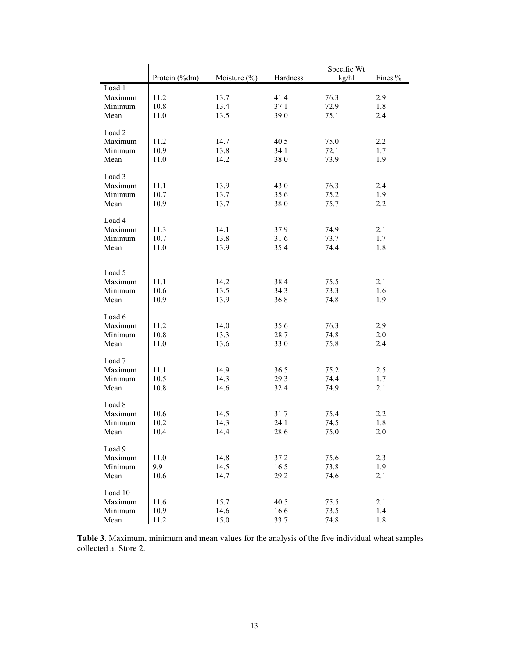|         | Protein (%dm) | Moisture $(\% )$ | Hardness | Specific Wt<br>kg/hl | Fines % |
|---------|---------------|------------------|----------|----------------------|---------|
| Load 1  |               |                  |          |                      |         |
| Maximum | 11.2          | 13.7             | 41.4     | 76.3                 | 2.9     |
| Minimum | 10.8          | 13.4             | 37.1     | 72.9                 | 1.8     |
| Mean    | 11.0          | 13.5             | 39.0     | 75.1                 | 2.4     |
|         |               |                  |          |                      |         |
| Load 2  |               |                  |          |                      |         |
| Maximum | 11.2          | 14.7             | 40.5     | 75.0                 | 2.2     |
| Minimum | 10.9          | 13.8             | 34.1     | 72.1                 | 1.7     |
| Mean    | 11.0          | 14.2             | 38.0     | 73.9                 | 1.9     |
|         |               |                  |          |                      |         |
| Load 3  |               |                  |          |                      |         |
|         |               |                  |          |                      |         |
| Maximum | 11.1          | 13.9             | 43.0     | 76.3                 | 2.4     |
| Minimum | 10.7          | 13.7             | 35.6     | 75.2                 | 1.9     |
| Mean    | 10.9          | 13.7             | 38.0     | 75.7                 | 2.2     |
|         |               |                  |          |                      |         |
| Load 4  |               |                  |          |                      |         |
| Maximum | 11.3          | 14.1             | 37.9     | 74.9                 | 2.1     |
| Minimum | 10.7          | 13.8             | 31.6     | 73.7                 | 1.7     |
| Mean    | 11.0          | 13.9             | 35.4     | 74.4                 | 1.8     |
|         |               |                  |          |                      |         |
|         |               |                  |          |                      |         |
| Load 5  |               |                  |          |                      |         |
| Maximum | 11.1          | 14.2             | 38.4     | 75.5                 | 2.1     |
| Minimum | 10.6          | 13.5             | 34.3     | 73.3                 | 1.6     |
| Mean    | 10.9          | 13.9             | 36.8     | 74.8                 | 1.9     |
|         |               |                  |          |                      |         |
| Load 6  |               |                  |          |                      |         |
| Maximum | 11.2          | 14.0             | 35.6     | 76.3                 | 2.9     |
| Minimum | 10.8          | 13.3             | 28.7     | 74.8                 | 2.0     |
| Mean    | 11.0          | 13.6             | 33.0     | 75.8                 | 2.4     |
|         |               |                  |          |                      |         |
| Load 7  |               |                  |          |                      |         |
|         |               |                  |          |                      |         |
| Maximum | 11.1          | 14.9             | 36.5     | 75.2                 | 2.5     |
| Minimum | 10.5          | 14.3             | 29.3     | 74.4                 | 1.7     |
| Mean    | 10.8          | 14.6             | 32.4     | 74.9                 | 2.1     |
|         |               |                  |          |                      |         |
| Load 8  |               |                  |          |                      |         |
| Maximum | 10.6          | 14.5             | 31.7     | 75.4                 | 2.2     |
| Minimum | 10.2          | 14.3             | 24.1     | 74.5                 | 1.8     |
| Mean    | 10.4          | 14.4             | 28.6     | 75.0                 | 2.0     |
|         |               |                  |          |                      |         |
| Load 9  |               |                  |          |                      |         |
| Maximum | 11.0          | 14.8             | 37.2     | 75.6                 | 2.3     |
| Minimum | 9.9           | 14.5             | 16.5     | 73.8                 | 1.9     |
| Mean    | 10.6          | 14.7             | 29.2     | 74.6                 | 2.1     |
|         |               |                  |          |                      |         |
| Load 10 |               |                  |          |                      |         |
| Maximum | 11.6          | 15.7             | 40.5     | 75.5                 | 2.1     |
| Minimum | 10.9          | 14.6             | 16.6     | 73.5                 | 1.4     |
| Mean    | 11.2          | 15.0             | 33.7     | 74.8                 | 1.8     |
|         |               |                  |          |                      |         |

**Table 3.** Maximum, minimum and mean values for the analysis of the five individual wheat samples collected at Store 2.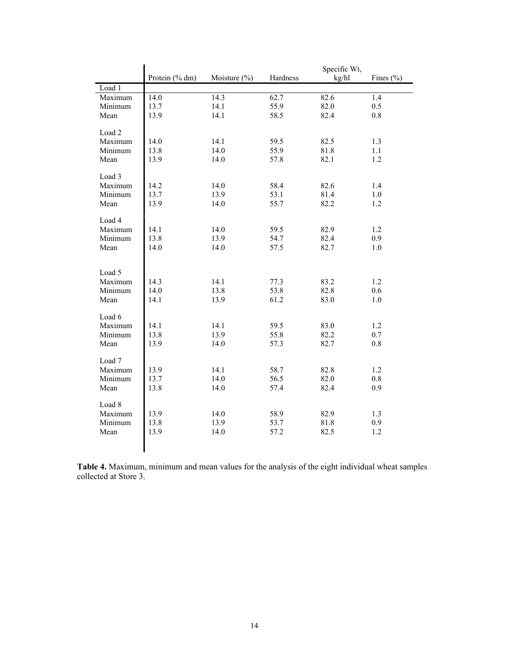|         |                |              | Specific Wt, |       |                  |
|---------|----------------|--------------|--------------|-------|------------------|
|         | Protein (% dm) | Moisture (%) | Hardness     | kg/hl | Fines $(\% )$    |
| Load 1  |                |              |              |       |                  |
| Maximum | 14.0           | 14.3         | 62.7         | 82.6  | $\overline{1.4}$ |
| Minimum | 13.7           | 14.1         | 55.9         | 82.0  | 0.5              |
| Mean    | 13.9           | 14.1         | 58.5         | 82.4  | $0.8\,$          |
|         |                |              |              |       |                  |
| Load 2  |                |              |              |       |                  |
| Maximum | 14.0           | 14.1         | 59.5         | 82.5  | 1.3              |
| Minimum | 13.8           | 14.0         | 55.9         | 81.8  | 1.1              |
| Mean    | 13.9           | 14.0         | 57.8         | 82.1  | 1.2              |
| Load 3  |                |              |              |       |                  |
| Maximum | 14.2           | 14.0         | 58.4         | 82.6  | 1.4              |
| Minimum | 13.7           | 13.9         | 53.1         | 81.4  | 1.0              |
| Mean    | 13.9           | 14.0         | 55.7         | 82.2  | 1.2              |
|         |                |              |              |       |                  |
| Load 4  |                |              |              |       |                  |
| Maximum | 14.1           | 14.0         | 59.5         | 82.9  | 1.2              |
| Minimum | 13.8           | 13.9         | 54.7         | 82.4  | 0.9              |
| Mean    | 14.0           | 14.0         | 57.5         | 82.7  | 1.0              |
|         |                |              |              |       |                  |
|         |                |              |              |       |                  |
| Load 5  |                |              |              |       |                  |
| Maximum | 14.3           | 14.1         | 77.3         | 83.2  | 1.2              |
| Minimum | 14.0           | 13.8         | 53.8         | 82.8  | 0.6              |
| Mean    | 14.1           | 13.9         | 61.2         | 83.0  | $1.0\,$          |
|         |                |              |              |       |                  |
| Load 6  |                |              |              |       |                  |
| Maximum | 14.1           | 14.1         | 59.5         | 83.0  | 1.2              |
| Minimum | 13.8           | 13.9         | 55.8         | 82.2  | 0.7              |
| Mean    | 13.9           | 14.0         | 57.3         | 82.7  | $0.8\,$          |
| Load 7  |                |              |              |       |                  |
| Maximum | 13.9           | 14.1         | 58.7         | 82.8  | 1.2              |
| Minimum | 13.7           | 14.0         | 56.5         | 82.0  | 0.8              |
| Mean    | 13.8           | 14.0         | 57.4         | 82.4  | 0.9              |
|         |                |              |              |       |                  |
| Load 8  |                |              |              |       |                  |
| Maximum | 13.9           | 14.0         | 58.9         | 82.9  | 1.3              |
| Minimum | 13.8           | 13.9         | 53.7         | 81.8  | 0.9              |
| Mean    | 13.9           | 14.0         | 57.2         | 82.5  | 1.2              |
|         |                |              |              |       |                  |
|         |                |              |              |       |                  |

**Table 4.** Maximum, minimum and mean values for the analysis of the eight individual wheat samples collected at Store 3.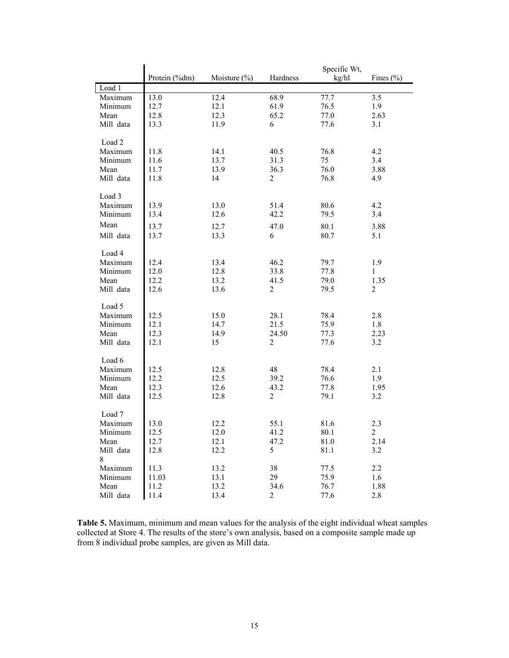|                   |               | Specific Wt,     |                |              |                |
|-------------------|---------------|------------------|----------------|--------------|----------------|
|                   | Protein (%dm) | Moisture $(\% )$ | Hardness       | kg/hl        | Fines $(\% )$  |
| Load 1            |               |                  |                |              |                |
| Maximum           | 13.0          | 12.4             | 68.9           | 77.7         | 3.5            |
| Minimum           | 12.7          | 12.1             | 61.9           | 76.5         | 1.9            |
| Mean              | 12.8          | 12.3             | 65.2           | 77.0         | 2.63           |
| Mill data         | 13.3          | 11.9             | 6              | 77.6         | 3.1            |
|                   |               |                  |                |              |                |
| Load 2            |               |                  |                |              |                |
| Maximum           | 11.8          | 14.1             | 40.5           | 76.8         | 4.2            |
| Minimum           | 11.6          | 13.7             | 31.3           | 75           | 3.4            |
| Mean              | 11.7          | 13.9             | 36.3           | 76.0         | 3.88           |
| Mill data         | 11.8          | 14               | $\overline{c}$ | 76.8         | 4.9            |
|                   |               |                  |                |              |                |
| Load 3            |               |                  |                |              |                |
| Maximum           | 13.9          | 13.0             | 51.4           | 80.6         | 4.2            |
| Minimum           | 13.4          | 12.6             | 42.2           | 79.5         | 3.4            |
| Mean              |               |                  |                |              |                |
|                   | 13.7          | 12.7             | 47.0           | 80.1         | 3.88           |
| Mill data         | 13.7          | 13.3             | 6              | 80.7         | 5.1            |
|                   |               |                  |                |              |                |
| Load 4            |               |                  |                |              |                |
| Maximum           | 12.4          | 13.4             | 46.2           | 79.7         | 1.9            |
| Minimum           | 12.0          | 12.8             | 33.8           | 77.8         | $\mathbf{1}$   |
| Mean              | 12.2          | 13.2             | 41.5           | 79.0         | 1.35           |
| Mill data         | 12.6          | 13.6             | $\overline{c}$ | 79.5         | $\overline{c}$ |
| Load 5            |               |                  |                |              |                |
| Maximum           | 12.5          | 15.0             | 28.1           | 78.4         | 2.8            |
| Minimum           | 12.1          |                  | 21.5           | 75.9         | 1.8            |
| Mean              |               | 14.7<br>14.9     | 24.50          |              |                |
|                   | 12.3          |                  |                | 77.3<br>77.6 | 2.23           |
| Mill data         | 12.1          | 15               | 2              |              | 3.2            |
| Load 6            |               |                  |                |              |                |
| Maximum           | 12.5          | 12.8             | 48             | 78.4         | 2.1            |
| Minimum           | 12.2          | 12.5             | 39.2           | 76.6         | 1.9            |
| Mean              | 12.3          | 12.6             | 43.2           | 77.8         | 1.95           |
|                   | 12.5          |                  | 2              | 79.1         |                |
| Mill data         |               | 12.8             |                |              | 3.2            |
| Load <sub>7</sub> |               |                  |                |              |                |
| Maximum           | 13.0          |                  | 55.1           | 81.6         | 2.3            |
| Minimum           |               | 12.2<br>12.0     |                |              | 2              |
| Mean              | 12.5<br>12.7  | 12.1             | 41.2<br>47.2   | 80.1<br>81.0 | 2.14           |
|                   |               |                  |                |              |                |
| Mill data         | 12.8          | 12.2             | 5              | 81.1         | 3.2            |
| 8                 |               |                  |                |              | 2.2            |
| Maximum           | 11.3          | 13.2             | 38             | 77.5         |                |
| Minimum           | 11.03         | 13.1             | 29             | 75.9         | 1.6            |
| Mean              | 11.2          | 13.2             | 34.6           | 76.7         | 1.88           |
| Mill data         | 11.4          | 13.4             | 2              | 77.6         | 2.8            |

**Table 5.** Maximum, minimum and mean values for the analysis of the eight individual wheat samples collected at Store 4. The results of the store's own analysis, based on a composite sample made up from 8 individual probe samples, are given as Mill data.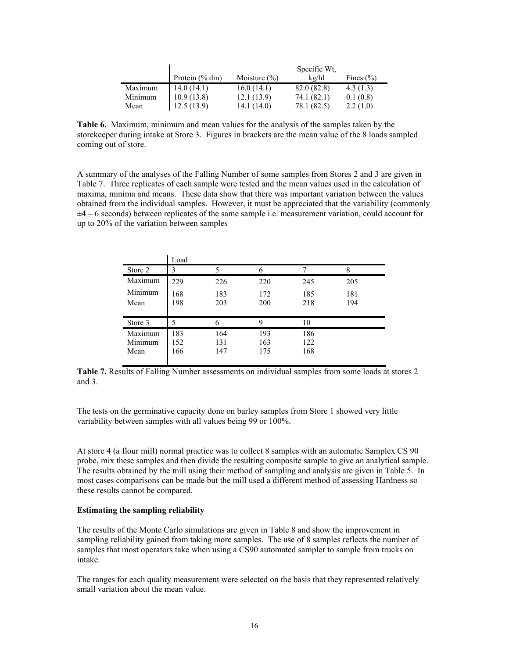|         |                   |                  | Specific Wt. |               |
|---------|-------------------|------------------|--------------|---------------|
|         | Protein $(\%$ dm) | Moisture $(\% )$ | $k\alpha/hl$ | Fines $(\% )$ |
| Maximum | 14.0(14.1)        | 16.0(14.1)       | 82.0 (82.8)  | 4.3(1.3)      |
| Minimum | 10.9(13.8)        | 12.1(13.9)       | 74.1 (82.1)  | 0.1(0.8)      |
| Mean    | 12.5(13.9)        | 14.1(14.0)       | 78.1 (82.5)  | 2.2(1.0)      |

**Table 6.** Maximum, minimum and mean values for the analysis of the samples taken by the storekeeper during intake at Store 3. Figures in brackets are the mean value of the 8 loads sampled coming out of store.

A summary of the analyses of the Falling Number of some samples from Stores 2 and 3 are given in Table 7. Three replicates of each sample were tested and the mean values used in the calculation of maxima, minima and means. These data show that there was important variation between the values obtained from the individual samples. However, it must be appreciated that the variability (commonly  $\pm 4$  – 6 seconds) between replicates of the same sample i.e. measurement variation, could account for up to 20% of the variation between samples

|                            | Load              |                   |                   |                   |            |
|----------------------------|-------------------|-------------------|-------------------|-------------------|------------|
| Store 2                    | 3                 |                   |                   |                   | 8          |
| Maximum                    | 229               | 226               | 220               | 245               | 205        |
| Minimum<br>Mean            | 168<br>198        | 183<br>203        | 172<br>200        | 185<br>218        | 181<br>194 |
| Store 3                    | 5                 | 6                 | 9                 | 10                |            |
| Maximum<br>Minimum<br>Mean | 183<br>152<br>166 | 164<br>131<br>147 | 193<br>163<br>175 | 186<br>122<br>168 |            |
|                            |                   |                   |                   |                   |            |

**Table 7.** Results of Falling Number assessments on individual samples from some loads at stores 2 and 3.

The tests on the germinative capacity done on barley samples from Store 1 showed very little variability between samples with all values being 99 or 100%.

At store 4 (a flour mill) normal practice was to collect 8 samples with an automatic Samplex CS 90 probe, mix these samples and then divide the resulting composite sample to give an analytical sample. The results obtained by the mill using their method of sampling and analysis are given in Table 5. In most cases comparisons can be made but the mill used a different method of assessing Hardness so these results cannot be compared.

#### **Estimating the sampling reliability**

The results of the Monte Carlo simulations are given in Table 8 and show the improvement in sampling reliability gained from taking more samples. The use of 8 samples reflects the number of samples that most operators take when using a CS90 automated sampler to sample from trucks on intake.

The ranges for each quality measurement were selected on the basis that they represented relatively small variation about the mean value.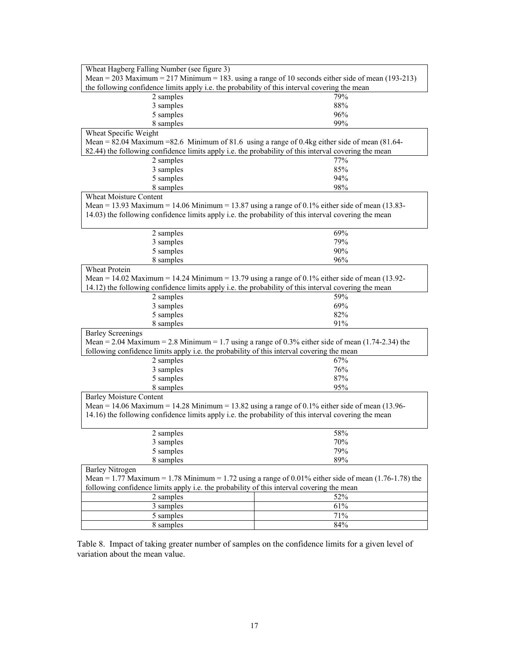| Wheat Hagberg Falling Number (see figure 3)                                                             |     |  |  |  |
|---------------------------------------------------------------------------------------------------------|-----|--|--|--|
| Mean = 203 Maximum = 217 Minimum = 183. using a range of 10 seconds either side of mean (193-213)       |     |  |  |  |
| the following confidence limits apply i.e. the probability of this interval covering the mean           |     |  |  |  |
| 2 samples                                                                                               | 79% |  |  |  |
| 3 samples                                                                                               | 88% |  |  |  |
| 5 samples                                                                                               | 96% |  |  |  |
| 8 samples                                                                                               | 99% |  |  |  |
| Wheat Specific Weight                                                                                   |     |  |  |  |
| Mean = 82.04 Maximum = 82.6 Minimum of 81.6 using a range of 0.4kg either side of mean $(81.64 -$       |     |  |  |  |
| 82.44) the following confidence limits apply i.e. the probability of this interval covering the mean    |     |  |  |  |
| 2 samples                                                                                               | 77% |  |  |  |
| 3 samples                                                                                               | 85% |  |  |  |
| 5 samples                                                                                               | 94% |  |  |  |
| 8 samples                                                                                               | 98% |  |  |  |
| <b>Wheat Moisture Content</b>                                                                           |     |  |  |  |
| Mean = 13.93 Maximum = 14.06 Minimum = 13.87 using a range of 0.1% either side of mean $(13.83-$        |     |  |  |  |
| 14.03) the following confidence limits apply i.e. the probability of this interval covering the mean    |     |  |  |  |
|                                                                                                         |     |  |  |  |
| 2 samples                                                                                               | 69% |  |  |  |
| 3 samples                                                                                               | 79% |  |  |  |
| 5 samples                                                                                               | 90% |  |  |  |
| 8 samples                                                                                               | 96% |  |  |  |
| Wheat Protein                                                                                           |     |  |  |  |
| Mean = 14.02 Maximum = 14.24 Minimum = 13.79 using a range of 0.1% either side of mean (13.92-          |     |  |  |  |
| 14.12) the following confidence limits apply i.e. the probability of this interval covering the mean    |     |  |  |  |
| 2 samples                                                                                               | 59% |  |  |  |
| 3 samples                                                                                               | 69% |  |  |  |
| 5 samples                                                                                               | 82% |  |  |  |
| 8 samples                                                                                               | 91% |  |  |  |
| <b>Barley Screenings</b>                                                                                |     |  |  |  |
| Mean = 2.04 Maximum = 2.8 Minimum = 1.7 using a range of 0.3% either side of mean $(1.74-2.34)$ the     |     |  |  |  |
| following confidence limits apply i.e. the probability of this interval covering the mean               |     |  |  |  |
| 2 samples                                                                                               | 67% |  |  |  |
| 3 samples                                                                                               | 76% |  |  |  |
| 5 samples                                                                                               | 87% |  |  |  |
| 8 samples                                                                                               | 95% |  |  |  |
| <b>Barley Moisture Content</b>                                                                          |     |  |  |  |
| Mean = 14.06 Maximum = 14.28 Minimum = 13.82 using a range of 0.1% either side of mean (13.96-          |     |  |  |  |
| 14.16) the following confidence limits apply i.e. the probability of this interval covering the mean    |     |  |  |  |
|                                                                                                         |     |  |  |  |
| 2 samples                                                                                               | 58% |  |  |  |
| 3 samples                                                                                               | 70% |  |  |  |
| 5 samples                                                                                               | 79% |  |  |  |
| 8 samples                                                                                               | 89% |  |  |  |
| <b>Barley Nitrogen</b>                                                                                  |     |  |  |  |
| Mean = 1.77 Maximum = 1.78 Minimum = 1.72 using a range of $0.01\%$ either side of mean (1.76-1.78) the |     |  |  |  |
| following confidence limits apply i.e. the probability of this interval covering the mean               |     |  |  |  |
| 2 samples                                                                                               | 52% |  |  |  |
| 3 samples                                                                                               | 61% |  |  |  |
| 5 samples                                                                                               | 71% |  |  |  |
| 8 samples                                                                                               | 84% |  |  |  |

Table 8. Impact of taking greater number of samples on the confidence limits for a given level of variation about the mean value.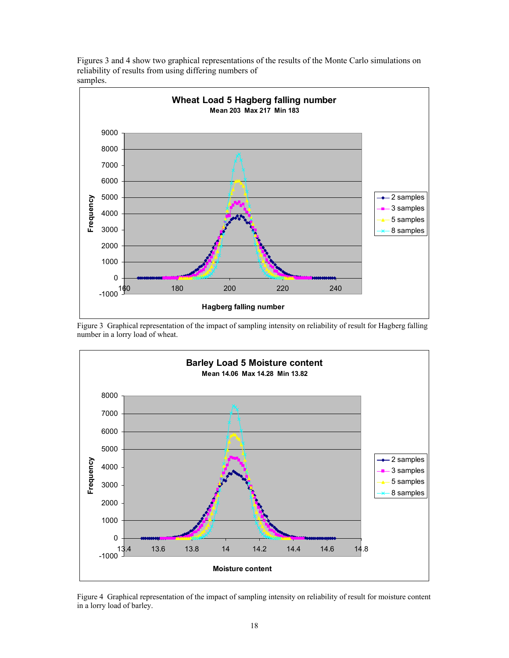Figures 3 and 4 show two graphical representations of the results of the Monte Carlo simulations on reliability of results from using differing numbers of samples.



Figure 3 Graphical representation of the impact of sampling intensity on reliability of result for Hagberg falling number in a lorry load of wheat.



Figure 4 Graphical representation of the impact of sampling intensity on reliability of result for moisture content in a lorry load of barley.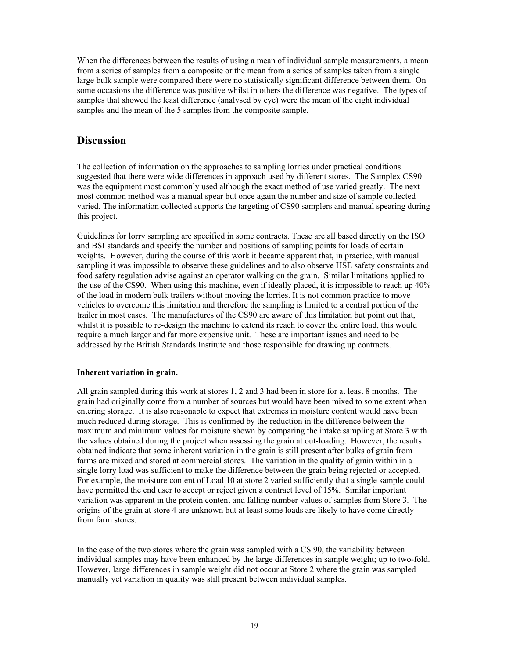When the differences between the results of using a mean of individual sample measurements, a mean from a series of samples from a composite or the mean from a series of samples taken from a single large bulk sample were compared there were no statistically significant difference between them. On some occasions the difference was positive whilst in others the difference was negative. The types of samples that showed the least difference (analysed by eye) were the mean of the eight individual samples and the mean of the 5 samples from the composite sample.

## **Discussion**

The collection of information on the approaches to sampling lorries under practical conditions suggested that there were wide differences in approach used by different stores. The Samplex CS90 was the equipment most commonly used although the exact method of use varied greatly. The next most common method was a manual spear but once again the number and size of sample collected varied. The information collected supports the targeting of CS90 samplers and manual spearing during this project.

Guidelines for lorry sampling are specified in some contracts. These are all based directly on the ISO and BSI standards and specify the number and positions of sampling points for loads of certain weights. However, during the course of this work it became apparent that, in practice, with manual sampling it was impossible to observe these guidelines and to also observe HSE safety constraints and food safety regulation advise against an operator walking on the grain. Similar limitations applied to the use of the CS90. When using this machine, even if ideally placed, it is impossible to reach up 40% of the load in modern bulk trailers without moving the lorries. It is not common practice to move vehicles to overcome this limitation and therefore the sampling is limited to a central portion of the trailer in most cases. The manufactures of the CS90 are aware of this limitation but point out that, whilst it is possible to re-design the machine to extend its reach to cover the entire load, this would require a much larger and far more expensive unit. These are important issues and need to be addressed by the British Standards Institute and those responsible for drawing up contracts.

## **Inherent variation in grain.**

All grain sampled during this work at stores 1, 2 and 3 had been in store for at least 8 months. The grain had originally come from a number of sources but would have been mixed to some extent when entering storage. It is also reasonable to expect that extremes in moisture content would have been much reduced during storage. This is confirmed by the reduction in the difference between the maximum and minimum values for moisture shown by comparing the intake sampling at Store 3 with the values obtained during the project when assessing the grain at out-loading. However, the results obtained indicate that some inherent variation in the grain is still present after bulks of grain from farms are mixed and stored at commercial stores. The variation in the quality of grain within in a single lorry load was sufficient to make the difference between the grain being rejected or accepted. For example, the moisture content of Load 10 at store 2 varied sufficiently that a single sample could have permitted the end user to accept or reject given a contract level of 15%. Similar important variation was apparent in the protein content and falling number values of samples from Store 3. The origins of the grain at store 4 are unknown but at least some loads are likely to have come directly from farm stores.

In the case of the two stores where the grain was sampled with a CS 90, the variability between individual samples may have been enhanced by the large differences in sample weight; up to two-fold. However, large differences in sample weight did not occur at Store 2 where the grain was sampled manually yet variation in quality was still present between individual samples.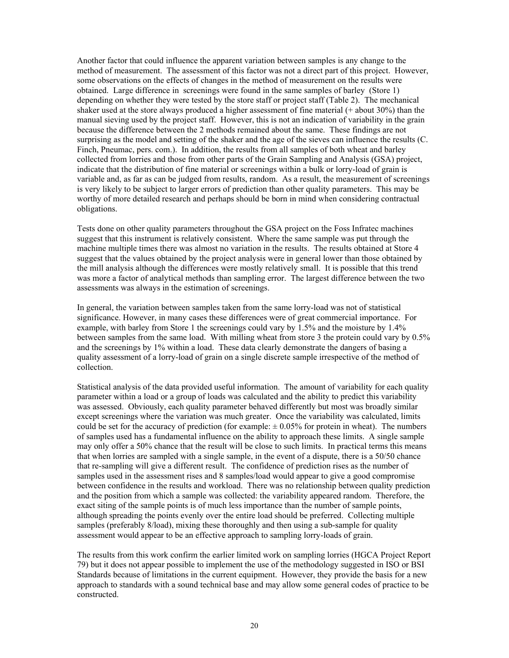Another factor that could influence the apparent variation between samples is any change to the method of measurement. The assessment of this factor was not a direct part of this project. However, some observations on the effects of changes in the method of measurement on the results were obtained. Large difference in screenings were found in the same samples of barley (Store 1) depending on whether they were tested by the store staff or project staff (Table 2). The mechanical shaker used at the store always produced a higher assessment of fine material (+ about 30%) than the manual sieving used by the project staff. However, this is not an indication of variability in the grain because the difference between the 2 methods remained about the same. These findings are not surprising as the model and setting of the shaker and the age of the sieves can influence the results (C. Finch, Pneumac, pers. com.). In addition, the results from all samples of both wheat and barley collected from lorries and those from other parts of the Grain Sampling and Analysis (GSA) project, indicate that the distribution of fine material or screenings within a bulk or lorry-load of grain is variable and, as far as can be judged from results, random. As a result, the measurement of screenings is very likely to be subject to larger errors of prediction than other quality parameters. This may be worthy of more detailed research and perhaps should be born in mind when considering contractual obligations.

Tests done on other quality parameters throughout the GSA project on the Foss Infratec machines suggest that this instrument is relatively consistent. Where the same sample was put through the machine multiple times there was almost no variation in the results. The results obtained at Store 4 suggest that the values obtained by the project analysis were in general lower than those obtained by the mill analysis although the differences were mostly relatively small. It is possible that this trend was more a factor of analytical methods than sampling error. The largest difference between the two assessments was always in the estimation of screenings.

In general, the variation between samples taken from the same lorry-load was not of statistical significance. However, in many cases these differences were of great commercial importance. For example, with barley from Store 1 the screenings could vary by 1.5% and the moisture by 1.4% between samples from the same load. With milling wheat from store 3 the protein could vary by 0.5% and the screenings by 1% within a load. These data clearly demonstrate the dangers of basing a quality assessment of a lorry-load of grain on a single discrete sample irrespective of the method of collection.

Statistical analysis of the data provided useful information. The amount of variability for each quality parameter within a load or a group of loads was calculated and the ability to predict this variability was assessed. Obviously, each quality parameter behaved differently but most was broadly similar except screenings where the variation was much greater. Once the variability was calculated, limits could be set for the accuracy of prediction (for example:  $\pm 0.05\%$  for protein in wheat). The numbers of samples used has a fundamental influence on the ability to approach these limits. A single sample may only offer a 50% chance that the result will be close to such limits. In practical terms this means that when lorries are sampled with a single sample, in the event of a dispute, there is a 50/50 chance that re-sampling will give a different result. The confidence of prediction rises as the number of samples used in the assessment rises and 8 samples/load would appear to give a good compromise between confidence in the results and workload. There was no relationship between quality prediction and the position from which a sample was collected: the variability appeared random. Therefore, the exact siting of the sample points is of much less importance than the number of sample points, although spreading the points evenly over the entire load should be preferred. Collecting multiple samples (preferably 8/load), mixing these thoroughly and then using a sub-sample for quality assessment would appear to be an effective approach to sampling lorry-loads of grain.

The results from this work confirm the earlier limited work on sampling lorries (HGCA Project Report 79) but it does not appear possible to implement the use of the methodology suggested in ISO or BSI Standards because of limitations in the current equipment. However, they provide the basis for a new approach to standards with a sound technical base and may allow some general codes of practice to be constructed.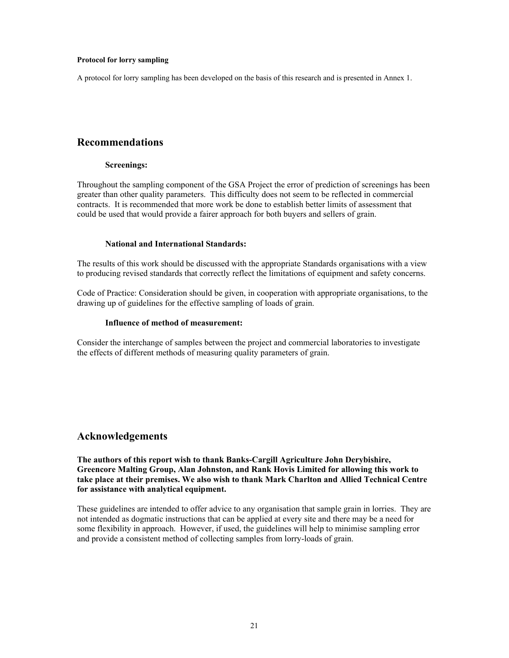#### **Protocol for lorry sampling**

A protocol for lorry sampling has been developed on the basis of this research and is presented in Annex 1.

## **Recommendations**

#### **Screenings:**

Throughout the sampling component of the GSA Project the error of prediction of screenings has been greater than other quality parameters. This difficulty does not seem to be reflected in commercial contracts. It is recommended that more work be done to establish better limits of assessment that could be used that would provide a fairer approach for both buyers and sellers of grain.

#### **National and International Standards:**

The results of this work should be discussed with the appropriate Standards organisations with a view to producing revised standards that correctly reflect the limitations of equipment and safety concerns.

Code of Practice: Consideration should be given, in cooperation with appropriate organisations, to the drawing up of guidelines for the effective sampling of loads of grain.

#### **Influence of method of measurement:**

Consider the interchange of samples between the project and commercial laboratories to investigate the effects of different methods of measuring quality parameters of grain.

## **Acknowledgements**

**The authors of this report wish to thank Banks-Cargill Agriculture John Derybishire, Greencore Malting Group, Alan Johnston, and Rank Hovis Limited for allowing this work to take place at their premises. We also wish to thank Mark Charlton and Allied Technical Centre for assistance with analytical equipment.** 

These guidelines are intended to offer advice to any organisation that sample grain in lorries. They are not intended as dogmatic instructions that can be applied at every site and there may be a need for some flexibility in approach. However, if used, the guidelines will help to minimise sampling error and provide a consistent method of collecting samples from lorry-loads of grain.